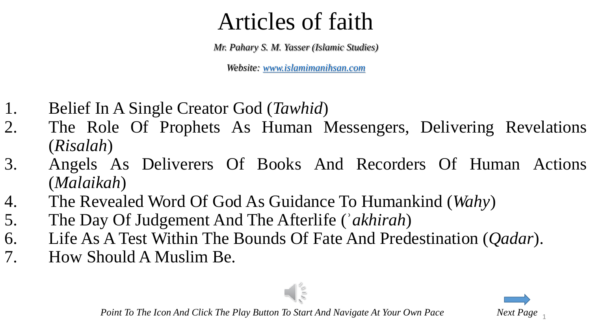*Mr. Pahary S. M. Yasser (Islamic Studies)*

*Website: [www.islamimanihsan.com](http://www.islamimanihsan.com/)*

- 1. Belief In A Single Creator God (*Tawhid*)
- 2. The Role Of Prophets As Human Messengers, Delivering Revelations (*Risalah*)
- 3. Angels As Deliverers Of Books And Recorders Of Human Actions (*Malaikah*)

 $\blacksquare$ 

- 4. The Revealed Word Of God As Guidance To Humankind (*Wahy*)
- 5. The Day Of Judgement And The Afterlife (ʾ*akhirah*)
- 6. Life As A Test Within The Bounds Of Fate And Predestination (*Qadar*).
- 7. How Should A Muslim Be.



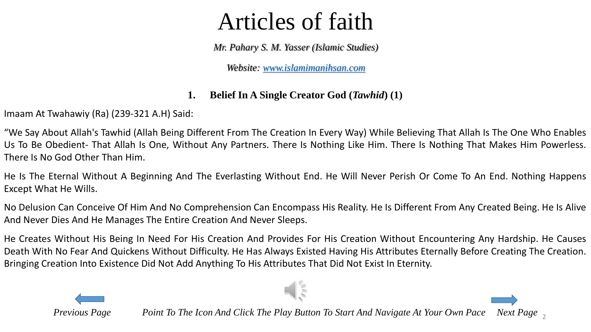*Mr. Pahary S. M. Yasser (Islamic Studies)*

*Website: [www.islamimanihsan.com](http://www.islamimanihsan.com/)*

#### **1. Belief In A Single Creator God (***Tawhid***) (1)**

Imaam At Twahawiy (Ra) (239-321 A.H) Said:

"We Say About Allah's Tawhid (Allah Being Different From The Creation In Every Way) While Believing That Allah Is The One Who Enables Us To Be Obedient- That Allah Is One, Without Any Partners. There Is Nothing Like Him. There Is Nothing That Makes Him Powerless. There Is No God Other Than Him.

He Is The Eternal Without A Beginning And The Everlasting Without End. He Will Never Perish Or Come To An End. Nothing Happens Except What He Wills.

No Delusion Can Conceive Of Him And No Comprehension Can Encompass His Reality. He Is Different From Any Created Being. He Is Alive And Never Dies And He Manages The Entire Creation And Never Sleeps.

He Creates Without His Being In Need For His Creation And Provides For His Creation Without Encountering Any Hardship. He Causes Death With No Fear And Quickens Without Difficulty. He Has Always Existed Having His Attributes Eternally Before Creating The Creation. Bringing Creation Into Existence Did Not Add Anything To His Attributes That Did Not Exist In Eternity.

 $\frac{1}{2}$ 

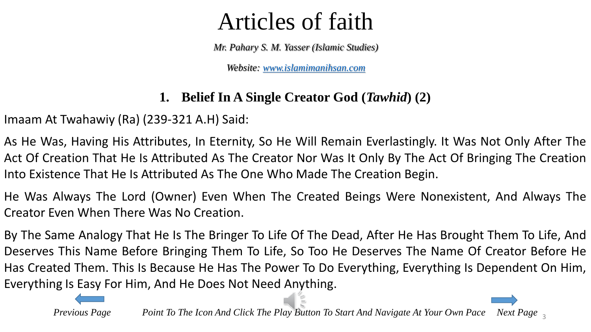*Mr. Pahary S. M. Yasser (Islamic Studies)*

*Website: [www.islamimanihsan.com](http://www.islamimanihsan.com/)*

#### **1. Belief In A Single Creator God (***Tawhid***) (2)**

<span id="page-2-0"></span>Imaam At Twahawiy (Ra) (239-321 A.H) Said:

As He Was, Having His Attributes, In Eternity, So He Will Remain Everlastingly. It Was Not Only After The Act Of Creation That He Is Attributed As The Creator Nor Was It Only By The Act Of Bringing The Creation Into Existence That He Is Attributed As The One Who Made The Creation Begin.

He Was Always The Lord (Owner) Even When The Created Beings Were Nonexistent, And Always The Creator Even When There Was No Creation.

By The Same Analogy That He Is The Bringer To Life Of The Dead, After He Has Brought Them To Life, And Deserves This Name Before Bringing Them To Life, So Too He Deserves The Name Of Creator Before He Has Created Them. This Is Because He Has The Power To Do Everything, Everything Is Dependent On Him, Everything Is Easy For Him, And He Does Not Need Anything.

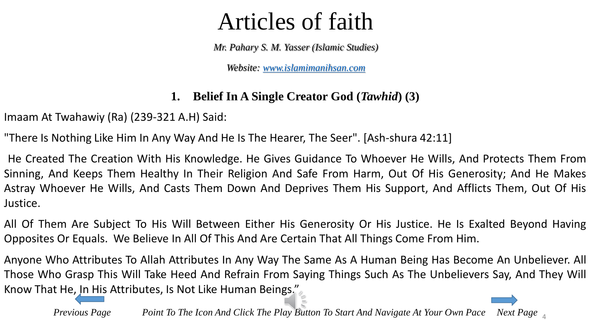*Mr. Pahary S. M. Yasser (Islamic Studies)*

*Website: [www.islamimanihsan.com](http://www.islamimanihsan.com/)*

#### **1. Belief In A Single Creator God (***Tawhid***) (3)**

Imaam At Twahawiy (Ra) (239-321 A.H) Said:

"There Is Nothing Like Him In Any Way And He Is The Hearer, The Seer". [Ash-shura 42:11]

He Created The Creation With His Knowledge. He Gives Guidance To Whoever He Wills, And Protects Them From Sinning, And Keeps Them Healthy In Their Religion And Safe From Harm, Out Of His Generosity; And He Makes Astray Whoever He Wills, And Casts Them Down And Deprives Them His Support, And Afflicts Them, Out Of His Justice.

All Of Them Are Subject To His Will Between Either His Generosity Or His Justice. He Is Exalted Beyond Having Opposites Or Equals. We Believe In All Of This And Are Certain That All Things Come From Him.

Anyone Who Attributes To Allah Attributes In Any Way The Same As A Human Being Has Become An Unbeliever. All Those Who Grasp This Will Take Heed And Refrain From Saying Things Such As The Unbelievers Say, And They Will Know That He, In [His](#page-2-0) Attributes, Is Not Like Human Beings."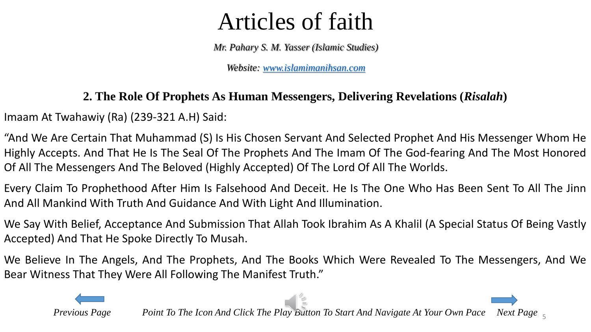*Mr. Pahary S. M. Yasser (Islamic Studies)*

*Website: [www.islamimanihsan.com](http://www.islamimanihsan.com/)*

#### **2. The Role Of Prophets As Human Messengers, Delivering Revelations (***Risalah***)**

Imaam At Twahawiy (Ra) (239-321 A.H) Said:

"And We Are Certain That Muhammad (S) Is His Chosen Servant And Selected Prophet And His Messenger Whom He Highly Accepts. And That He Is The Seal Of The Prophets And The Imam Of The God-fearing And The Most Honored Of All The Messengers And The Beloved (Highly Accepted) Of The Lord Of All The Worlds.

Every Claim To Prophethood After Him Is Falsehood And Deceit. He Is The One Who Has Been Sent To All The Jinn And All Mankind With Truth And Guidance And With Light And Illumination.

We Say With Belief, Acceptance And Submission That Allah Took Ibrahim As A Khalil (A Special Status Of Being Vastly Accepted) And That He Spoke Directly To Musah.

We Believe In The Angels, And The Prophets, And The Books Which Were Revealed To The Messengers, And We Bear Witness That They Were All Following The Manifest Truth."

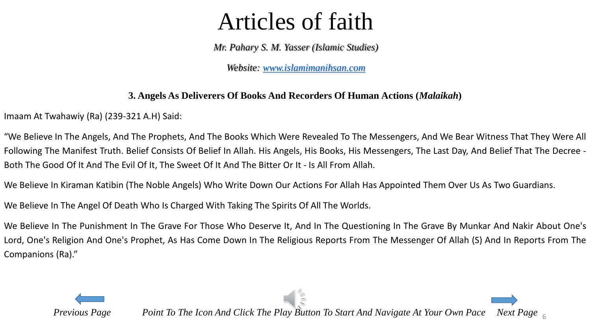*Mr. Pahary S. M. Yasser (Islamic Studies)*

*Website: [www.islamimanihsan.com](http://www.islamimanihsan.com/)*

#### **3. Angels As Deliverers Of Books And Recorders Of Human Actions (***Malaikah***)**

<span id="page-5-0"></span>Imaam At Twahawiy (Ra) (239-321 A.H) Said:

"We Believe In The Angels, And The Prophets, And The Books Which Were Revealed To The Messengers, And We Bear Witness That They Were All Following The Manifest Truth. Belief Consists Of Belief In Allah. His Angels, His Books, His Messengers, The Last Day, And Belief That The Decree - Both The Good Of It And The Evil Of It, The Sweet Of It And The Bitter Or It - Is All From Allah.

We Believe In Kiraman Katibin (The Noble Angels) Who Write Down Our Actions For Allah Has Appointed Them Over Us As Two Guardians.

We Believe In The Angel Of Death Who Is Charged With Taking The Spirits Of All The Worlds.

We Believe In The Punishment In The Grave For Those Who Deserve It, And In The Questioning In The Grave By Munkar And Nakir About One's Lord, One's Religion And One's Prophet, As Has Come Down In The Religious Reports From The Messenger Of Allah (S) And In Reports From The Companions (Ra)."

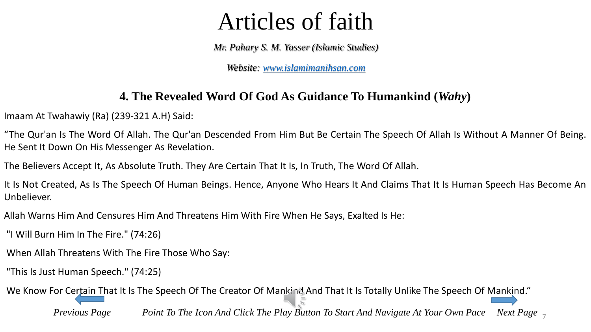*Mr. Pahary S. M. Yasser (Islamic Studies)*

*Website: [www.islamimanihsan.com](http://www.islamimanihsan.com/)*

#### **4. The Revealed Word Of God As Guidance To Humankind (***Wahy***)**

Imaam At Twahawiy (Ra) (239-321 A.H) Said:

"The Qur'an Is The Word Of Allah. The Qur'an Descended From Him But Be Certain The Speech Of Allah Is Without A Manner Of Being. He Sent It Down On His Messenger As Revelation.

The Believers Accept It, As Absolute Truth. They Are Certain That It Is, In Truth, The Word Of Allah.

It Is Not Created, As Is The Speech Of Human Beings. Hence, Anyone Who Hears It And Claims That It Is Human Speech Has Become An Unbeliever.

Allah Warns Him And Censures Him And Threatens Him With Fire When He Says, Exalted Is He:

"I Will Burn Him In The Fire." (74:26)

When Allah Threatens With The Fire Those Who Say:

"This Is Just Human Speech." (74:25)

We Know For C[ertain](#page-5-0) That It Is The Speech Of The Creator Of Mankind And That It Is Totally Unlike The Speech Of [Mankin](#page-7-0)d."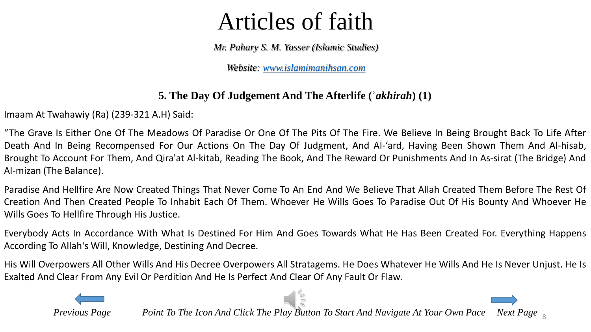*Mr. Pahary S. M. Yasser (Islamic Studies)*

*Website: [www.islamimanihsan.com](http://www.islamimanihsan.com/)*

#### **5. The Day Of Judgement And The Afterlife (ʾ***akhirah***) (1)**

<span id="page-7-0"></span>Imaam At Twahawiy (Ra) (239-321 A.H) Said:

"The Grave Is Either One Of The Meadows Of Paradise Or One Of The Pits Of The Fire. We Believe In Being Brought Back To Life After Death And In Being Recompensed For Our Actions On The Day Of Judgment, And Al-'ard, Having Been Shown Them And Al-hisab, Brought To Account For Them, And Qira'at Al-kitab, Reading The Book, And The Reward Or Punishments And In As-sirat (The Bridge) And Al-mizan (The Balance).

Paradise And Hellfire Are Now Created Things That Never Come To An End And We Believe That Allah Created Them Before The Rest Of Creation And Then Created People To Inhabit Each Of Them. Whoever He Wills Goes To Paradise Out Of His Bounty And Whoever He Wills Goes To Hellfire Through His Justice.

Everybody Acts In Accordance With What Is Destined For Him And Goes Towards What He Has Been Created For. Everything Happens According To Allah's Will, Knowledge, Destining And Decree.

His Will Overpowers All Other Wills And His Decree Overpowers All Stratagems. He Does Whatever He Wills And He Is Never Unjust. He Is Exalted And Clear From Any Evil Or Perdition And He Is Perfect And Clear Of Any Fault Or Flaw.

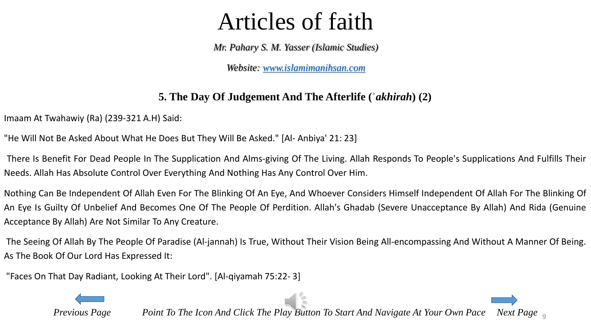*Mr. Pahary S. M. Yasser (Islamic Studies)*

*Website: [www.islamimanihsan.com](http://www.islamimanihsan.com/)*

#### **5. The Day Of Judgement And The Afterlife (ʾ***akhirah***) (2)**

Imaam At Twahawiy (Ra) (239-321 A.H) Said:

"He Will Not Be Asked About What He Does But They Will Be Asked." [Al- Anbiya' 21: 23]

There Is Benefit For Dead People In The Supplication And Alms-giving Of The Living. Allah Responds To People's Supplications And Fulfills Their Needs. Allah Has Absolute Control Over Everything And Nothing Has Any Control Over Him.

Nothing Can Be Independent Of Allah Even For The Blinking Of An Eye, And Whoever Considers Himself Independent Of Allah For The Blinking Of An Eye Is Guilty Of Unbelief And Becomes One Of The People Of Perdition. Allah's Ghadab (Severe Unacceptance By Allah) And Rida (Genuine Acceptance By Allah) Are Not Similar To Any Creature.

The Seeing Of Allah By The People Of Paradise (Al-jannah) Is True, Without Their Vision Being All-encompassing And Without A Manner Of Being. As The Book Of Our Lord Has Expressed It:

"Faces On That Day Radiant, Looking At Their Lord". [Al-qiyamah 75:22- 3]

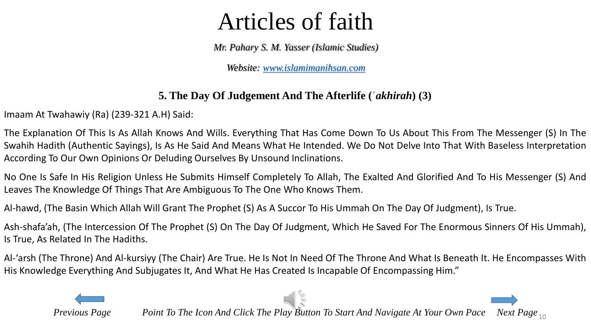*Mr. Pahary S. M. Yasser (Islamic Studies)*

*Website: [www.islamimanihsan.com](http://www.islamimanihsan.com/)*

#### **5. The Day Of Judgement And The Afterlife (ʾ***akhirah***) (3)**

Imaam At Twahawiy (Ra) (239-321 A.H) Said:

The Explanation Of This Is As Allah Knows And Wills. Everything That Has Come Down To Us About This From The Messenger (S) In The Swahih Hadith (Authentic Sayings), Is As He Said And Means What He Intended. We Do Not Delve Into That With Baseless Interpretation According To Our Own Opinions Or Deluding Ourselves By Unsound Inclinations.

No One Is Safe In His Religion Unless He Submits Himself Completely To Allah, The Exalted And Glorified And To His Messenger (S) And Leaves The Knowledge Of Things That Are Ambiguous To The One Who Knows Them.

Al-hawd, (The Basin Which Allah Will Grant The Prophet (S) As A Succor To His Ummah On The Day Of Judgment), Is True.

Ash-shafa'ah, (The Intercession Of The Prophet (S) On The Day Of Judgment, Which He Saved For The Enormous Sinners Of His Ummah), Is True, As Related In The Hadiths.

Al-'arsh (The Throne) And Al-kursiyy (The Chair) Are True. He Is Not In Need Of The Throne And What Is Beneath It. He Encompasses With His Knowledge Everything And Subjugates It, And What He Has Created Is Incapable Of Encompassing Him."

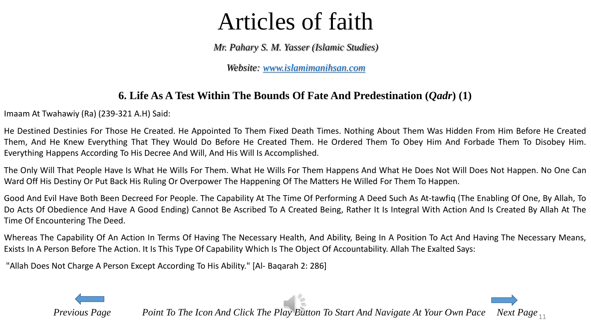*Mr. Pahary S. M. Yasser (Islamic Studies)*

*Website: [www.islamimanihsan.com](http://www.islamimanihsan.com/)*

#### **6. Life As A Test Within The Bounds Of Fate And Predestination (***Qadr***) (1)**

<span id="page-10-0"></span>Imaam At Twahawiy (Ra) (239-321 A.H) Said:

He Destined Destinies For Those He Created. He Appointed To Them Fixed Death Times. Nothing About Them Was Hidden From Him Before He Created Them, And He Knew Everything That They Would Do Before He Created Them. He Ordered Them To Obey Him And Forbade Them To Disobey Him. Everything Happens According To His Decree And Will, And His Will Is Accomplished.

The Only Will That People Have Is What He Wills For Them. What He Wills For Them Happens And What He Does Not Will Does Not Happen. No One Can Ward Off His Destiny Or Put Back His Ruling Or Overpower The Happening Of The Matters He Willed For Them To Happen.

Good And Evil Have Both Been Decreed For People. The Capability At The Time Of Performing A Deed Such As At-tawfiq (The Enabling Of One, By Allah, To Do Acts Of Obedience And Have A Good Ending) Cannot Be Ascribed To A Created Being, Rather It Is Integral With Action And Is Created By Allah At The Time Of Encountering The Deed.

Whereas The Capability Of An Action In Terms Of Having The Necessary Health, And Ability, Being In A Position To Act And Having The Necessary Means, Exists In A Person Before The Action. It Is This Type Of Capability Which Is The Object Of Accountability. Allah The Exalted Says:

"Allah Does Not Charge A Person Except According To His Ability." [Al- Baqarah 2: 286]

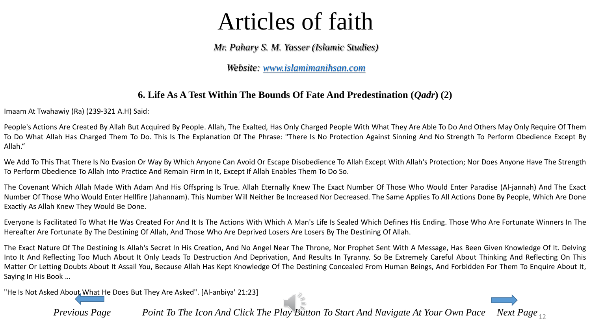*Mr. Pahary S. M. Yasser (Islamic Studies)*

*Website: [www.islamimanihsan.com](http://www.islamimanihsan.com/)*

#### **6. Life As A Test Within The Bounds Of Fate And Predestination (***Qadr***) (2)**

Imaam At Twahawiy (Ra) (239-321 A.H) Said:

People's Actions Are Created By Allah But Acquired By People. Allah, The Exalted, Has Only Charged People With What They Are Able To Do And Others May Only Require Of Them To Do What Allah Has Charged Them To Do. This Is The Explanation Of The Phrase: "There Is No Protection Against Sinning And No Strength To Perform Obedience Except By Allah."

We Add To This That There Is No Evasion Or Way By Which Anyone Can Avoid Or Escape Disobedience To Allah Except With Allah's Protection; Nor Does Anyone Have The Strength To Perform Obedience To Allah Into Practice And Remain Firm In It, Except If Allah Enables Them To Do So.

The Covenant Which Allah Made With Adam And His Offspring Is True. Allah Eternally Knew The Exact Number Of Those Who Would Enter Paradise (Al-jannah) And The Exact Number Of Those Who Would Enter Hellfire (Jahannam). This Number Will Neither Be Increased Nor Decreased. The Same Applies To All Actions Done By People, Which Are Done Exactly As Allah Knew They Would Be Done.

Everyone Is Facilitated To What He Was Created For And It Is The Actions With Which A Man's Life Is Sealed Which Defines His Ending. Those Who Are Fortunate Winners In The Hereafter Are Fortunate By The Destining Of Allah, And Those Who Are Deprived Losers Are Losers By The Destining Of Allah.

The Exact Nature Of The Destining Is Allah's Secret In His Creation, And No Angel Near The Throne, Nor Prophet Sent With A Message, Has Been Given Knowledge Of It. Delving Into It And Reflecting Too Much About It Only Leads To Destruction And Deprivation, And Results In Tyranny. So Be Extremely Careful About Thinking And Reflecting On This Matter Or Letting Doubts About It Assail You, Because Allah Has Kept Knowledge Of The Destining Concealed From Human Beings, And Forbidden For Them To Enquire About It, Saying In His Book …

"He Is Not Asked About [What](#page-10-0) He Does But They Are Asked". [Al-anbiya' 21:23]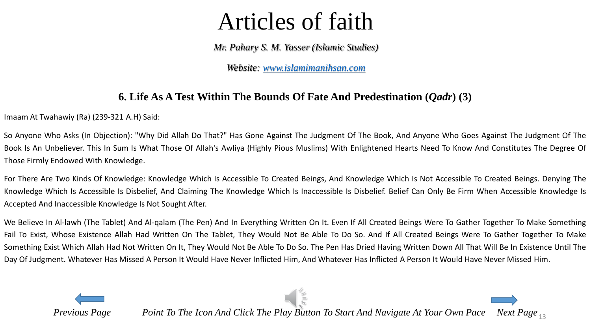*Mr. Pahary S. M. Yasser (Islamic Studies)*

*Website: [www.islamimanihsan.com](http://www.islamimanihsan.com/)*

#### **6. Life As A Test Within The Bounds Of Fate And Predestination (***Qadr***) (3)**

Imaam At Twahawiy (Ra) (239-321 A.H) Said:

So Anyone Who Asks (In Objection): "Why Did Allah Do That?" Has Gone Against The Judgment Of The Book, And Anyone Who Goes Against The Judgment Of The Book Is An Unbeliever. This In Sum Is What Those Of Allah's Awliya (Highly Pious Muslims) With Enlightened Hearts Need To Know And Constitutes The Degree Of Those Firmly Endowed With Knowledge.

For There Are Two Kinds Of Knowledge: Knowledge Which Is Accessible To Created Beings, And Knowledge Which Is Not Accessible To Created Beings. Denying The Knowledge Which Is Accessible Is Disbelief, And Claiming The Knowledge Which Is Inaccessible Is Disbelief. Belief Can Only Be Firm When Accessible Knowledge Is Accepted And Inaccessible Knowledge Is Not Sought After.

We Believe In Al-lawh (The Tablet) And Al-qalam (The Pen) And In Everything Written On It. Even If All Created Beings Were To Gather Together To Make Something Fail To Exist, Whose Existence Allah Had Written On The Tablet, They Would Not Be Able To Do So. And If All Created Beings Were To Gather Together To Make Something Exist Which Allah Had Not Written On It, They Would Not Be Able To Do So. The Pen Has Dried Having Written Down All That Will Be In Existence Until The Day Of Judgment. Whatever Has Missed A Person It Would Have Never Inflicted Him, And Whatever Has Inflicted A Person It Would Have Never Missed Him.

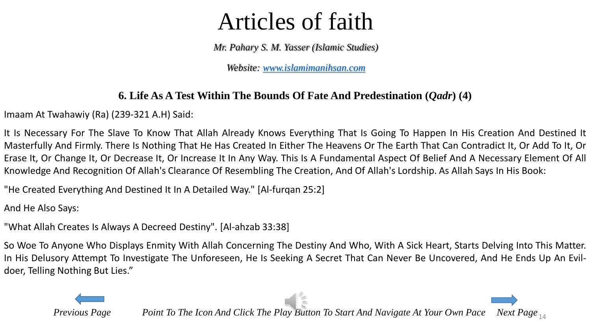*Mr. Pahary S. M. Yasser (Islamic Studies)*

*Website: [www.islamimanihsan.com](http://www.islamimanihsan.com/)*

#### **6. Life As A Test Within The Bounds Of Fate And Predestination (***Qadr***) (4)**

Imaam At Twahawiy (Ra) (239-321 A.H) Said:

It Is Necessary For The Slave To Know That Allah Already Knows Everything That Is Going To Happen In His Creation And Destined It Masterfully And Firmly. There Is Nothing That He Has Created In Either The Heavens Or The Earth That Can Contradict It, Or Add To It, Or Erase It, Or Change It, Or Decrease It, Or Increase It In Any Way. This Is A Fundamental Aspect Of Belief And A Necessary Element Of All Knowledge And Recognition Of Allah's Clearance Of Resembling The Creation, And Of Allah's Lordship. As Allah Says In His Book:

"He Created Everything And Destined It In A Detailed Way." [Al-furqan 25:2]

And He Also Says:

"What Allah Creates Is Always A Decreed Destiny". [Al-ahzab 33:38]

So Woe To Anyone Who Displays Enmity With Allah Concerning The Destiny And Who, With A Sick Heart, Starts Delving Into This Matter. In His Delusory Attempt To Investigate The Unforeseen, He Is Seeking A Secret That Can Never Be Uncovered, And He Ends Up An Evildoer, Telling Nothing But Lies."

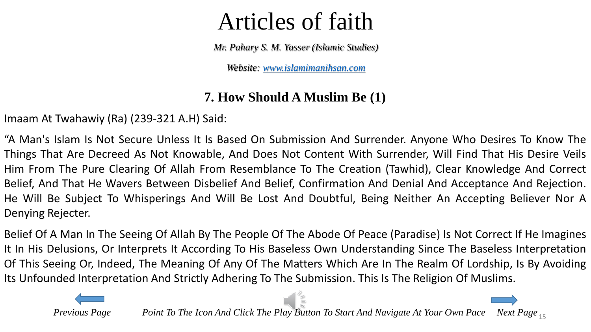*Mr. Pahary S. M. Yasser (Islamic Studies)*

*Website: [www.islamimanihsan.com](http://www.islamimanihsan.com/)*

#### **7. How Should A Muslim Be (1)**

Imaam At Twahawiy (Ra) (239-321 A.H) Said:

"A Man's Islam Is Not Secure Unless It Is Based On Submission And Surrender. Anyone Who Desires To Know The Things That Are Decreed As Not Knowable, And Does Not Content With Surrender, Will Find That His Desire Veils Him From The Pure Clearing Of Allah From Resemblance To The Creation (Tawhid), Clear Knowledge And Correct Belief, And That He Wavers Between Disbelief And Belief, Confirmation And Denial And Acceptance And Rejection. He Will Be Subject To Whisperings And Will Be Lost And Doubtful, Being Neither An Accepting Believer Nor A Denying Rejecter.

Belief Of A Man In The Seeing Of Allah By The People Of The Abode Of Peace (Paradise) Is Not Correct If He Imagines It In His Delusions, Or Interprets It According To His Baseless Own Understanding Since The Baseless Interpretation Of This Seeing Or, Indeed, The Meaning Of Any Of The Matters Which Are In The Realm Of Lordship, Is By Avoiding Its Unfounded Interpretation And Strictly Adhering To The Submission. This Is The Religion Of Muslims.

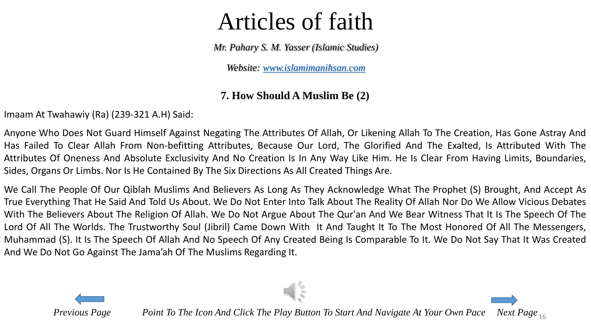*Mr. Pahary S. M. Yasser (Islamic Studies)*

*Website: [www.islamimanihsan.com](http://www.islamimanihsan.com/)*

#### **7. How Should A Muslim Be (2)**

Imaam At Twahawiy (Ra) (239-321 A.H) Said:

Anyone Who Does Not Guard Himself Against Negating The Attributes Of Allah, Or Likening Allah To The Creation, Has Gone Astray And Has Failed To Clear Allah From Non-befitting Attributes, Because Our Lord, The Glorified And The Exalted, Is Attributed With The Attributes Of Oneness And Absolute Exclusivity And No Creation Is In Any Way Like Him. He Is Clear From Having Limits, Boundaries, Sides, Organs Or Limbs. Nor Is He Contained By The Six Directions As All Created Things Are.

We Call The People Of Our Qiblah Muslims And Believers As Long As They Acknowledge What The Prophet (S) Brought, And Accept As True Everything That He Said And Told Us About. We Do Not Enter Into Talk About The Reality Of Allah Nor Do We Allow Vicious Debates With The Believers About The Religion Of Allah. We Do Not Argue About The Qur'an And We Bear Witness That It Is The Speech Of The Lord Of All The Worlds. The Trustworthy Soul (Jibril) Came Down With It And Taught It To The Most Honored Of All The Messengers, Muhammad (S). It Is The Speech Of Allah And No Speech Of Any Created Being Is Comparable To It. We Do Not Say That It Was Created And We Do Not Go Against The Jama'ah Of The Muslims Regarding It.

 $\sqrt{11/2}$ 

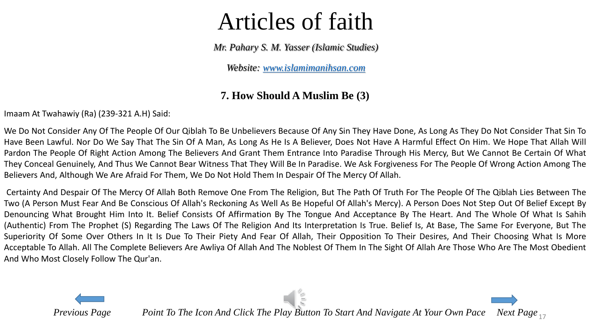*Mr. Pahary S. M. Yasser (Islamic Studies)*

*Website: [www.islamimanihsan.com](http://www.islamimanihsan.com/)*

#### **7. How Should A Muslim Be (3)**

Imaam At Twahawiy (Ra) (239-321 A.H) Said:

We Do Not Consider Any Of The People Of Our Qiblah To Be Unbelievers Because Of Any Sin They Have Done, As Long As They Do Not Consider That Sin To Have Been Lawful. Nor Do We Say That The Sin Of A Man, As Long As He Is A Believer, Does Not Have A Harmful Effect On Him. We Hope That Allah Will Pardon The People Of Right Action Among The Believers And Grant Them Entrance Into Paradise Through His Mercy, But We Cannot Be Certain Of What They Conceal Genuinely, And Thus We Cannot Bear Witness That They Will Be In Paradise. We Ask Forgiveness For The People Of Wrong Action Among The Believers And, Although We Are Afraid For Them, We Do Not Hold Them In Despair Of The Mercy Of Allah.

Certainty And Despair Of The Mercy Of Allah Both Remove One From The Religion, But The Path Of Truth For The People Of The Qiblah Lies Between The Two (A Person Must Fear And Be Conscious Of Allah's Reckoning As Well As Be Hopeful Of Allah's Mercy). A Person Does Not Step Out Of Belief Except By Denouncing What Brought Him Into It. Belief Consists Of Affirmation By The Tongue And Acceptance By The Heart. And The Whole Of What Is Sahih (Authentic) From The Prophet (S) Regarding The Laws Of The Religion And Its Interpretation Is True. Belief Is, At Base, The Same For Everyone, But The Superiority Of Some Over Others In It Is Due To Their Piety And Fear Of Allah, Their Opposition To Their Desires, And Their Choosing What Is More Acceptable To Allah. All The Complete Believers Are Awliya Of Allah And The Noblest Of Them In The Sight Of Allah Are Those Who Are The Most Obedient And Who Most Closely Follow The Qur'an.

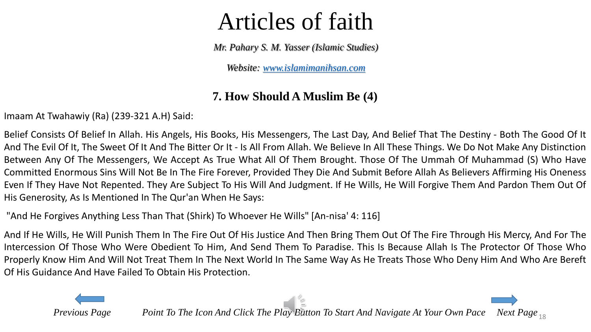*Mr. Pahary S. M. Yasser (Islamic Studies)*

*Website: [www.islamimanihsan.com](http://www.islamimanihsan.com/)*

#### **7. How Should A Muslim Be (4)**

Imaam At Twahawiy (Ra) (239-321 A.H) Said:

Belief Consists Of Belief In Allah. His Angels, His Books, His Messengers, The Last Day, And Belief That The Destiny - Both The Good Of It And The Evil Of It, The Sweet Of It And The Bitter Or It - Is All From Allah. We Believe In All These Things. We Do Not Make Any Distinction Between Any Of The Messengers, We Accept As True What All Of Them Brought. Those Of The Ummah Of Muhammad (S) Who Have Committed Enormous Sins Will Not Be In The Fire Forever, Provided They Die And Submit Before Allah As Believers Affirming His Oneness Even If They Have Not Repented. They Are Subject To His Will And Judgment. If He Wills, He Will Forgive Them And Pardon Them Out Of His Generosity, As Is Mentioned In The Qur'an When He Says:

"And He Forgives Anything Less Than That (Shirk) To Whoever He Wills" [An-nisa' 4: 116]

And If He Wills, He Will Punish Them In The Fire Out Of His Justice And Then Bring Them Out Of The Fire Through His Mercy, And For The Intercession Of Those Who Were Obedient To Him, And Send Them To Paradise. This Is Because Allah Is The Protector Of Those Who Properly Know Him And Will Not Treat Them In The Next World In The Same Way As He Treats Those Who Deny Him And Who Are Bereft Of His Guidance And Have Failed To Obtain His Protection.

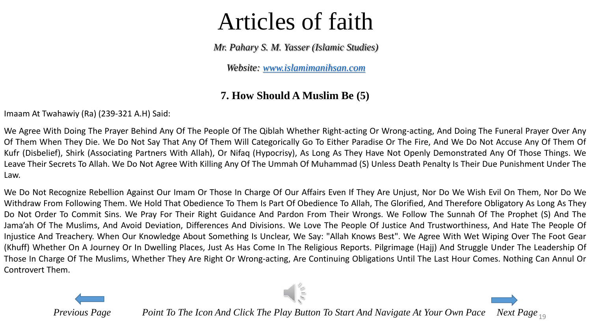*Mr. Pahary S. M. Yasser (Islamic Studies)*

*Website: [www.islamimanihsan.com](http://www.islamimanihsan.com/)*

#### **7. How Should A Muslim Be (5)**

<span id="page-18-0"></span>Imaam At Twahawiy (Ra) (239-321 A.H) Said:

We Agree With Doing The Prayer Behind Any Of The People Of The Qiblah Whether Right-acting Or Wrong-acting, And Doing The Funeral Prayer Over Any Of Them When They Die. We Do Not Say That Any Of Them Will Categorically Go To Either Paradise Or The Fire, And We Do Not Accuse Any Of Them Of Kufr (Disbelief), Shirk (Associating Partners With Allah), Or Nifaq (Hypocrisy), As Long As They Have Not Openly Demonstrated Any Of Those Things. We Leave Their Secrets To Allah. We Do Not Agree With Killing Any Of The Ummah Of Muhammad (S) Unless Death Penalty Is Their Due Punishment Under The Law.

We Do Not Recognize Rebellion Against Our Imam Or Those In Charge Of Our Affairs Even If They Are Unjust, Nor Do We Wish Evil On Them, Nor Do We Withdraw From Following Them. We Hold That Obedience To Them Is Part Of Obedience To Allah, The Glorified, And Therefore Obligatory As Long As They Do Not Order To Commit Sins. We Pray For Their Right Guidance And Pardon From Their Wrongs. We Follow The Sunnah Of The Prophet (S) And The Jama'ah Of The Muslims, And Avoid Deviation, Differences And Divisions. We Love The People Of Justice And Trustworthiness, And Hate The People Of Injustice And Treachery. When Our Knowledge About Something Is Unclear, We Say: "Allah Knows Best". We Agree With Wet Wiping Over The Foot Gear (Khuff) Whether On A Journey Or In Dwelling Places, Just As Has Come In The Religious Reports. Pilgrimage (Hajj) And Struggle Under The Leadership Of Those In Charge Of The Muslims, Whether They Are Right Or Wrong-acting, Are Continuing Obligations Until The Last Hour Comes. Nothing Can Annul Or Controvert Them.